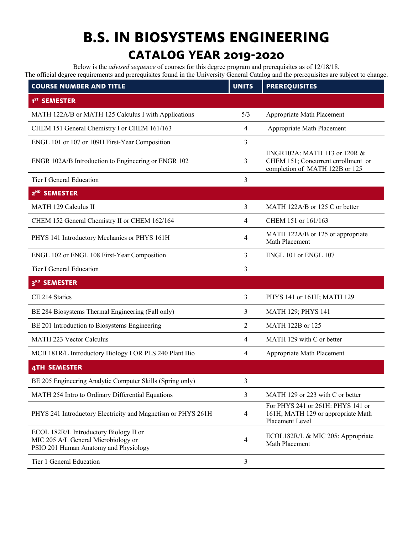## **B.S. IN BIOSYSTEMS ENGINEERING**

## **CATALOG YEAR 2019-2020**

Below is the *advised sequence* of courses for this degree program and prerequisites as of 12/18/18. The official degree requirements and prerequisites found in the University General Catalog and the prerequisites are subject to change.

| <b>COURSE NUMBER AND TITLE</b>                                                                                         | <b>UNITS</b>   | <b>PREREQUISITES</b>                                                                                 |
|------------------------------------------------------------------------------------------------------------------------|----------------|------------------------------------------------------------------------------------------------------|
| 1 <sup>ST</sup> SEMESTER                                                                                               |                |                                                                                                      |
| MATH 122A/B or MATH 125 Calculus I with Applications                                                                   | 5/3            | Appropriate Math Placement                                                                           |
| CHEM 151 General Chemistry I or CHEM 161/163                                                                           | 4              | Appropriate Math Placement                                                                           |
| ENGL 101 or 107 or 109H First-Year Composition                                                                         | 3              |                                                                                                      |
| ENGR 102A/B Introduction to Engineering or ENGR 102                                                                    | 3              | ENGR102A: MATH 113 or 120R &<br>CHEM 151; Concurrent enrollment or<br>completion of MATH 122B or 125 |
| Tier I General Education                                                                                               | 3              |                                                                                                      |
| 2 <sup>ND</sup> SEMESTER                                                                                               |                |                                                                                                      |
| MATH 129 Calculus II                                                                                                   | 3              | MATH 122A/B or 125 C or better                                                                       |
| CHEM 152 General Chemistry II or CHEM 162/164                                                                          | 4              | CHEM 151 or 161/163                                                                                  |
| PHYS 141 Introductory Mechanics or PHYS 161H                                                                           | 4              | MATH 122A/B or 125 or appropriate<br>Math Placement                                                  |
| ENGL 102 or ENGL 108 First-Year Composition                                                                            | 3              | ENGL 101 or ENGL 107                                                                                 |
| Tier I General Education                                                                                               | 3              |                                                                                                      |
| 3 <sup>RD</sup><br><b>SEMESTER</b>                                                                                     |                |                                                                                                      |
| CE 214 Statics                                                                                                         | 3              | PHYS 141 or 161H; MATH 129                                                                           |
| BE 284 Biosystems Thermal Engineering (Fall only)                                                                      | 3              | <b>MATH 129; PHYS 141</b>                                                                            |
| BE 201 Introduction to Biosystems Engineering                                                                          | 2              | MATH 122B or 125                                                                                     |
| <b>MATH 223 Vector Calculus</b>                                                                                        | 4              | MATH 129 with C or better                                                                            |
| MCB 181R/L Introductory Biology I OR PLS 240 Plant Bio                                                                 | 4              | Appropriate Math Placement                                                                           |
| <b>4TH SEMESTER</b>                                                                                                    |                |                                                                                                      |
| BE 205 Engineering Analytic Computer Skills (Spring only)                                                              | 3              |                                                                                                      |
| MATH 254 Intro to Ordinary Differential Equations                                                                      | 3              | MATH 129 or 223 with C or better                                                                     |
| PHYS 241 Introductory Electricity and Magnetism or PHYS 261H                                                           | $\overline{4}$ | For PHYS 241 or 261H: PHYS 141 or<br>161H; MATH 129 or appropriate Math<br>Placement Level           |
| ECOL 182R/L Introductory Biology II or<br>MIC 205 A/L General Microbiology or<br>PSIO 201 Human Anatomy and Physiology | 4              | ECOL182R/L & MIC 205: Appropriate<br>Math Placement                                                  |
| Tier 1 General Education                                                                                               | 3              |                                                                                                      |